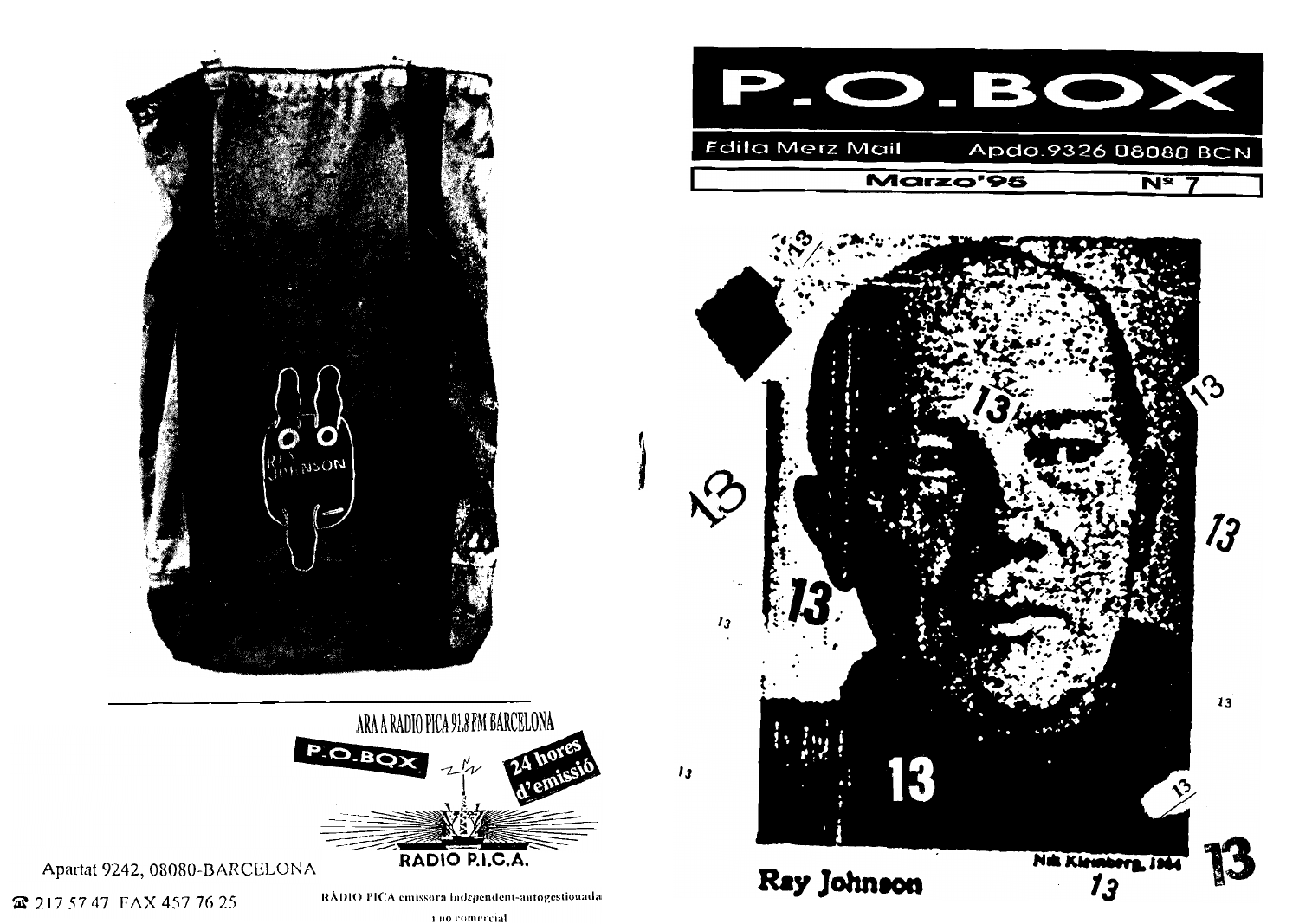



Apartat 9242, 08080-BARCELONA

22 217 57 47 FAX 457 76 25

RÀDIO PICA emissora independent-autogestionada *i* no comercial



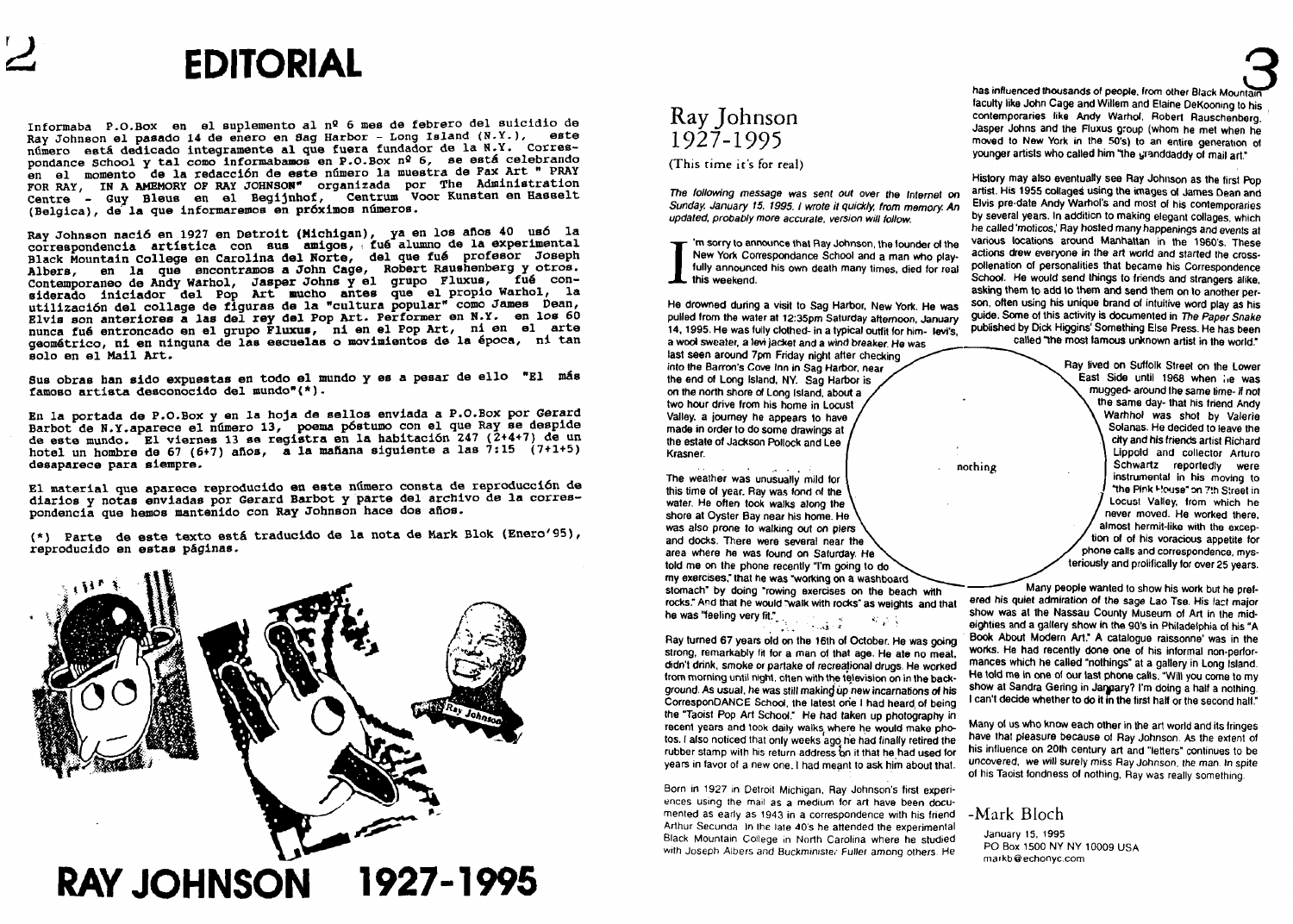

**Informaba P.O.Box en el suplemento al nQ 6 mes de febrero del suicidio de Ray Johnson el pasado 14 de enero en Sag Harbor** - **Long Ialand (N.Y.), este número está dedicado integramente al que fuera fundador de la N.Y. Corres**pondance School y tal como informabamos en P.O.Box nº 6, se está celebrando **en el momento de la redacción de este número la muestra de Fax Art** " **PRAY FOR RAY, IN A AMEMORY OP RAY JOHNSOH" organizada por The Administration Centre** - **Guy Bleus en el Begijnhof, Centrum Voor Kunsten en Hasselt (Belgica), de' la que informaremos en próximos números.** 

**Ray Johnson nació en 1927 en Detroit (Michigan), ya en los afios 40 us6 la correspondencia artistica con sus amigos,** , **fu6 alumno de la experimental Black Mountain College en Carolina del Norte, del que fub profesor Joseph Albere, en la que encontramos a John Cage, Robert Raushenberg y otros.**  siderado iniciador del Pop Art mucho antes que el propio Warhol, la utilización del collage de figuras de la "cultura popular" como James Dean, **Elvis eon anteriores a lae del rey del Pop Art. Performer en N.Y. en los 60 nunca fu6 entroncado en el grupo Fluxus, ni en el Pop Art, ni en el arte**  geométrico, ni en ninguna de las escuelas o movimientos de la época, ni tan **solo en el Mail Art.** 

**Sus obras han sido expuestas en todo el mundo y es a pesar de ello "El máe famoso artista desconocido del mundom(\*).** 

**En la portada de P.O.Box y en la hoja de sellos enviada a P.O.Box por Gerard Barbot de N.Y.aparece el número 13, poema póstumo con el que Ray se despide**  hotel un hombre de 67 (6+7) años, a la mañana siguiente a las 7:15 (7+1+5) **desaparece para siempre.** 

**El material que aparece reproducido en este número consta de reproducción de diarios y notas enviadas por Gerard Barbot y parte del archivo de la corres- pondencia que hemoe mantenido con Ray Johnson hace dos aflos.** 

(\*) **Parte de este texto está traducido de la nota de Mark Blok (Enerof95), reproducido en estas páginas.** 



## Ray Johnson 1927-1995

(This **time ir's** for **real)** 

The follomng rnessage was senl Out over Ihe lnlernel **on**  Sunday, January 15, 1995. I wrote it quickly, from memory. An updated, probably more accurate, version will follow.

'm sorry to announce that Ray Johnson, the founder of the New York Conespondance School and a man who playfully announced his own death many times, died for real this weekend.

He drowned dunng a visit to Sag Harbor, New York. He **was**  pulled from the water at 12:35pm Saturday afternoon, January 14, 1995. He was fully clothed- in a typical outfit for him- levi's,<br>a wool sweater, a levi jacket and a wind breaker. He was

last seen around 7pm Friday night after checking into the Barron's Cave Inn in Sag Harbor. near the end of **Long** Island. NY. Sag Harbor is m the north shore **d** Long Island. about a two hour drive from his home in Locust Valley, a journey he appears to have made in order to do some drawings at the estate of Jadcson Pollock and Lee Krasner.

.<br>The weather was unusually mild for this time of year. Ray was fond of the water. He often took walks along the shore at Oyster Bay near his home. He was also prone to walking out **on** piers and docks. There were several near the area where he was found on Saturday. He told me on the phone recently 'l'm going to do my exercises," that he was "working on a washboard he was "feeling very fit.". stomach" by doing "rowing exercises on the beach with rocks." And that he would "walk with rocks" as weights and that<br>he was "feeling very fit."<br>-

Ray turned 67 years old on the 16th of October. He was going strong, remarkably **lit** for a man of that age. He ate no meat. didn't drink. smoke or partake of recreafional drugs. He worked from morning until night, often with the television on in the background. As usual, he was still makind up new incarnations of his CorresponDANCE **School.** the latest one I had heard of being the "Taoist **Pop** Art School.' He had taken up photography in recen1 years and took daily walks, where he would make phe tos. I also noticed that only weeks ago he had linally retired the rubber stamp with his return address on it that he had used for years in favor of a new one. I had meant to ask him about that.

Born in 1927 in Detroit Michigan. Ray Johnson's first experiences using the mail as a medium for art have been documented as early as 1943 in a correspondence with his fnend Arthur Secunda In the late 40's he attended the experimental Black Mountain College in North Carolina where he studied with Joseph Albers and Buckminister Fuller among others. He

has influenced thousands of people. Irom other Black Mount faculty like John Cage and Willem and Elaine DeKooning to his contemporaries like Andy Warhd, Robert Rauschenberg. Jasper Johns and the Fluxus group (whom he met when he moved to New York in the 50's) to an entire generation of younger artists who called him "the granddaddy of mail art."

History may also eventually see Ray Johnson as the first Pop artist. His 1955 collages using the images of James Dean and Elvis pre-date Andy Warhol's and most of his contemporanes by several years. In additicn to making elegant collages. which **he** called 'moticos.' Ray hosled many happenings and events at various locations around Manhattan in the 1960's. These actions drew everyone in the art world and started the crosspdlenation of personalities that became his correspondence **School.** He would send lhings to friends and strangers alike. askmg them to add lo them and send them on lo another person. often using his unique brand of inluitive word play as his guide. Some of this activity is documented in The Paper Snake<br>published by Dick Higgins' Something Else Press. He has been History may also eventually see Ray Johnson as the first Pop artist. His 1955 collages using the images of James Dean and Elvis pre-date Andy Warhol's and most of his contemporaries by several wears at events at events at

Ray lived on Suffolk Streel on the Lower East Side until 1968 when he was mugged- around the same time- if not the same day- that his friend Andy Warhhol was shot by Valerie Solanas. He decided to leave the city and his friends artist Richard Lippold and collector Arturo Schwartz reportedly were instrumental in his moving to "the Pink Flouse" on 7th Street in Locust Valley, from which he never moved. He worked there. almost hermit-like with the excep tion of of his voracious appetite for phone calls and correspondence, mysteriously and prolifically for over 25 years.

Many people wanted to show his work but he prefered his quiet admiration of the sage Lao Tse. His lact major **show** was at the Nassau County Museum oí **Ari** in the mideightíes and a gallery show **in the** 90's in Philadelphia **ol** his "A **Book** Abwt Modern Art. A catalogue raissonne' was in the works. He had recently done one of his informal non-performances which he called "nothings" at a gallery in Long Island. He told me in one of our last phone calls. "Will you come to my show at Sandra Gering in Jannary? I'm doing a half a nothing. I can't decide whether to do it in the first half or the second half."

Many of us who know each other in the art world and its fringes have that pleasure because of Ray Johnson. As the extent of his influence on 20th century art and "letters" continues to be uncovered. we will surely miss Ray Johnson, the man. In spite of his Taoist fondness ol nothing. Ray was really sornething.

#### **-Mark** Bloch

nothing

January 15. 1995 PO Box 1500 **NY** NY 10009 USA markb@echonyc.com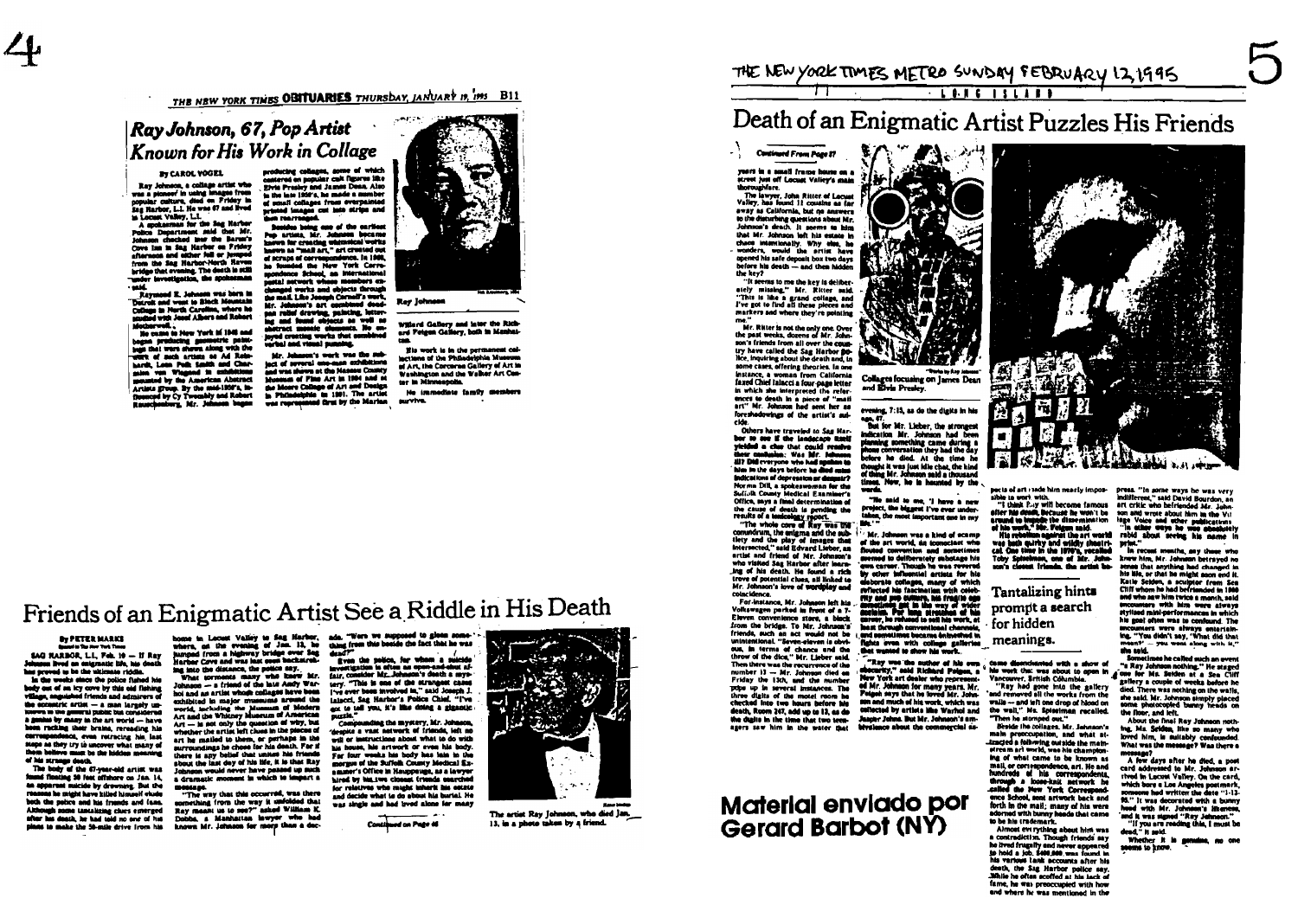#### THE NEW YORK TINES OBSITUARIES THURSDAY, IANUARY 19, 1995 B11

### Ray Johnson, 67, Pop Artist Known for His Work in Collage

#### **BY CAROL VOGEL**

Ray Johnson, a collage artist who

Ray Johanna, e collage artist who<br>applare from a pioneer' in using images from popular culture, desi on<br> $\mathcal{P}$ ring Rarbor, L.L. He was 67 and lived<br>in Lag, Rarbor, L.L. He was 67 and lived<br>in Localy Chigay, L.L.<br> $\mathcal{P}$ bridge that evening. The deeth is still<br>under investigation, the spokesman

Revenued R. Johnson was here in Fourth and west to Black Meantain<br>College in North Carolina, where he<br>gaudied with Josef Albert and Robert

He came to New York In 1968 and began producing geometric paint-<br>jugs that were shown along with the ark of such artists as Ad Robe hardt, Loss Polk Smith and Charsales von Wagend in exhibitions Artists group. By the mai-1937s, in-<br>fluenced by Cy Twembly and Robert<br>Rauschestury, Mr. Johnson began

producing collages, some of which<br>contered on popular calt figures like<br>Elvis Presley and James Dean. Also<br>in the late 1931's, he mode a number of small collages from overpainted<br>printed images cut into strips and<br>then rearranged.

Southern before more of the sections Postdes being date at the earnest<br>Pap artists, Mr. Johnson Ispanies<br>Inswe he creating whimstead works<br>Inswe as "mail art," art created out movement control control of the state of the state of the state of the state of the state of the state of the state of the state of the state of the state of the state of the state of the state of the state of the state of piatal network whose mombers en-<br>changed works and objects through<br>the mail, Like Joseph Cernell's work,<br>has relief drawing, painting, lutter-<br>ing, and from the chief drawing, painting, lutter-<br>ing, and from objects about



**Rey Johnson** 

i ya

Els work is in the permanent collections of the Philadelphia Museum<br>of Art, the Corcurae Gallery of Art in<br>Washington and the Walker Art Con-Mr. Johnson's work was the subjact of several one-man exhibitions<br>and was shown at the Hansou County<br>biseman of Pine Art in 1994 and at ter in Minneepolis pursuance College of Art and Design<br>the Moore College of Art and Design<br>was represented first by the Marian No immediate family did

# Friends of an Enigmatic Artist See a Riddle in His Death

#### **By PETER MARKS**

SAG HARBOR, LL, Feb. 10 - If Ray Johnson Hyad an enternatic life, his death has proved to be the ultimate riddle.

weeks since the police fished his body out of an ky cove by this old fishing<br>village, anguished friends and admirers of<br>the econstric artist — a man largely unwa to the numeral makin has considered this by many in the art world -- have hom racking their brains, rereading his **CONTINUE HIGE**, even retracing his last steps as they try to uncover what many of them believe must be the hidden meaning of his strange death.

The body of the 67-year-old artist was found floating 50 feet offshore on Jan. 14, an apparent micide by drowning. But the ns he might have killed himself clude both the police and his friends and fans. Although some tantalizing clues enverged after his death, he had told no one of his pleas to make the 50-mile drive from his

home in Locust Valley to Seg Harber, pumped from 10, he<br>pumped from a higheray bridge over Seg Harber, pumped from a higheray bridge over Seg<br>Harber Cove and was less than our locks.<br>What sorresses many wide becketted.<br>Wha

Johnson - a friend of the late Andy Warhoi and an artist whose collages have been ibited in major museums around the world, including the Museum of Modern<br>Art and the Whitney Museum of American Art - is not only the question of why, but<br>whether the artist left clues in the pieces of whereast test artists rent cause in the pieces of<br>art he mailed to them, or perhaps in the<br>surroundings he chose for his death. For if<br>there is apy belief that unites his friends<br>about the last day of his life, it is that Johnson would never have passed up such<br>a dramatic moment in which to impart a

message.<br>"The way that this occurred, was there sure was one was even the way it unfolded that<br>Ray meant us to see?" asked William K. bs, a Manhastan lawyer who had known Mr. Johnson for more than a doc

ada. "Were we supposed to glean some-<br>thing from this beside the fact that he was dead?

isad?"<br>"gyon the police, for whom a suicide<br>gyostigation is eften as open-and-shut af-<br>air, consider Mr...Johnetn's death a mys-**The Contract** tery. "This is one of the strangest cases I've ever been involved in," said Joseph J. laiseel, Sag Harbor's Police Chief. "I've got to tell you, it's like doing a gigantic<br>got to tell you, it's like doing a gigantic

Comi ounding the mystery, Mr. Johnson 'despite a vast network of friends, left no will or instructions about what to do with his house, his artwork or even his body. For four weeks his hody has lain in the morgue of the Suffolk County Medical Exnanmer's Office in Hauppauge, as a lawyer<br>hired by his two closest friends eserched for relatives who might inherit his estate and decide what to do about his burial. He was single and had leved alone for many

Continued on Page 46

The artist Ray Johnson, who died Jan. 13, in a photo taken by a friend.

### THE NEW YORK TIMES METRO SUNDAY FEBRUARY 121995

## Death of an Enigmatic Artist Puzzles His Friends

#### Continued From Page 17

years in a small frame house on a street just off Locust Valley's main The lawyer, John Ritter of Locust<br>Valley, has found 11 cousins as far<br>away as California, but on answers to the disturbing questions about Mr. Johnson's death. It seems to him chaos intentionally. Why else, he<br>wonders, would the artist have opened his safe deposit box two days fore his death - and then hidder the boy?

"It seems to me the key is deliberately missing," Mr. Ritter said.<br>"This is like a grand collage, and<br>I've got to find all these pieces and markers and where they're pointing

try have called the Sag Harbor posome cases, offering theories. In one Instance, a woman from California<br>faxed Chief lalacci a four-page letter<br>in which she interpreted the references to death in a piece of "mail<br>art" Mr. Johnson had sent her as foreshodowings of the artist's sub-

Others have traveled to Sag Har-<br>bor to see if the landscape itself product in the term and could readed<br>their configular. Was Mr. Johnson<br>All? Did everyone who had spoken to<br>him in the days before he died miss Indications of depression or despair? Norma Dill, a spokeswoman for the<br>Sulialk County Medical Examiner's Office, says a final determination of

comundrum, the enigma and the sub-<br>tiety and the play of images that they are use you, we serve an artist and friend of Mr. Johnson's who visited Sag Harbor after learning of his death. He found a rich trove of potential clues, all linked to<br>Mr. Johnson's love of wordplay and mincidence

For-instance Mr. Johnson left his Volkswagen parked in front of a 7-Eleven convenience store, a block<br>from the bridge. To Mr. Johnson's friends, such an act would not be<br>unintentional. "Seven-eleven is obvious, in terms of chance and the throw of the dice." Mr. Lieber said. Then there was the recurrence of the mber 13 — Mr. Johnson died on Friday the 13th, and the number putos up in several instances. The three digits of the motel room he checked into two hours before his death, Room 247, add up to 13, as do

## Material enviado por **Gerard Barbot (NY)**



**Construction for Collages focusing on James Dean**<br>and Elvin Presley.

evening, 7:15, as do the digits in his aga, 47.

ngs, +:<br>But for Mr. Lieber, the strongest<br>Indication Mr. Johnson had been planning something came during a phone conversation they were time. thought it was just idle chat, the kind<br>of thing Mr. Johnson said a thousand<br>tinest. New, he is haunted by the

"He said to me, 'I have a new project, the biggest I've ever undertaken, the most important one in my

...<br>of the art world, an iconoclast who flouted convention and sometimes sement to deliberately shidolay in<br>the constant of the second system in the system in the system in<br>the system in the system of the system of the system of the system<br>of the factorization of the system of the system of the best through conventional channels, fights even with college galleries

"Ray was the author of his own abscurity," said Richard Poigon, a<br>New York art dealer who represented Mr. Johnson for many years. Mr.<br>Feigen says that he loved Mr. Johnson and much of his work, which was collected by artists like Warhol and Jesper Johns. But Mr. Johnson's am-<br>bivelence about the commercial si-

"I think Pay will become famous<br>after his death, because he won't be

hio ta mark with.

after his doach, because he won't be<br>are<br>around to impede the dissemination<br>of his work," Mr. Felgon said.<br>His rebotion against the art world<br>was beds quiring and widdy sheart-<br>cal. One time in the 1970's, recalled<br>Toby Sp

**Tantalizing hints** prompt a search for hidden

meanings.

d with a show of

his work that was about to open in the stage of his senior nothing." He staged<br>Vancouver, British Cólumbia. "Ray had gone into the gallery walls --- and left one drop of hicod on the wall," Ms. Spissiman recalled. Then he stomped out."

Beside the collages, Mr. Johnson's -tracted a following outside the maining of what came to be known as mail, or correspondence, art. He and hundreds of his correspondents, through a loose-knit network he<br>.called the New York Correspondcames the rew Tork Correspondence and forth in the mail; many of his were<br>forth in the mail; many of his were<br>adorned with bunny heads that came<br>to be his trademark.

to be not everything about him was<br>a contradiction. Though friends say he lived frugally and never appeared<br>to hold a job. \$400,000, was found in his various tank accounts after his death, the Sag Harbor police say. liftin he often arafted at his lash of fame, he was prooccupied with how

and where he was mentioned in the

ਇਝੋ L.

للمواويد فكالمكانة

press. "In some ways he was very<br>Indifferent." said David Bourdon, an icia of art i sade him nearly imposart critic who befriended Mr. John son and wrote about him in the Vit the Voice and other publications "In other ways he was absolute **STAR** 

In recent menths, say these wh knew him, Mr. Johnson betrayed no answermen, mr. Jonasom betrayed no<br>betwee that anything had changed in<br>his life, or that he might soon end it.<br>Katle Seiden, a sculptor from Sea<br>Cilif whom he had befrianded in 1988 Little whome the base because the lower<br>and who saw him twice a month, and one and applied mini-performances in which<br>his goal often was to confound. The<br>his goal often was to confound. The

encounters were always entering. The<br>ling. "You didn't say, "What did that<br>mean?" -- you went along with it," mean?" — yun ......<br>the said.<br>Enmatimes he called such an event " Ray Johnson nothing." He staged

gallery a couple of weeks before he died. There was nothing on the waffs, she said. Mr. Johnson simply placed<br>some photocopied bunny heads on the floor, and left.

About the final Ray Johnson nothing. Ms. Selden, like so many who What was the message? Was there a messaan?

A few days after he died, a post card addressed to Mr. Johnson arrived in Lacust Valley. On the card. which bore a Los Angeles postmark,<br>someone had written the date "1-13-85." It was decorated with a bunny<br>head with Mr. Johnson's likeness. and it was signed "Ray Jehneon."<br>"If you are reading this, I must be

dead," it seld. Whether R is g

the digits in the time that two teen-<br>agers saw him in the water that

the cause of death is pending the<br>results of a tenicology report.<br>"The whole core of Ray was the" D.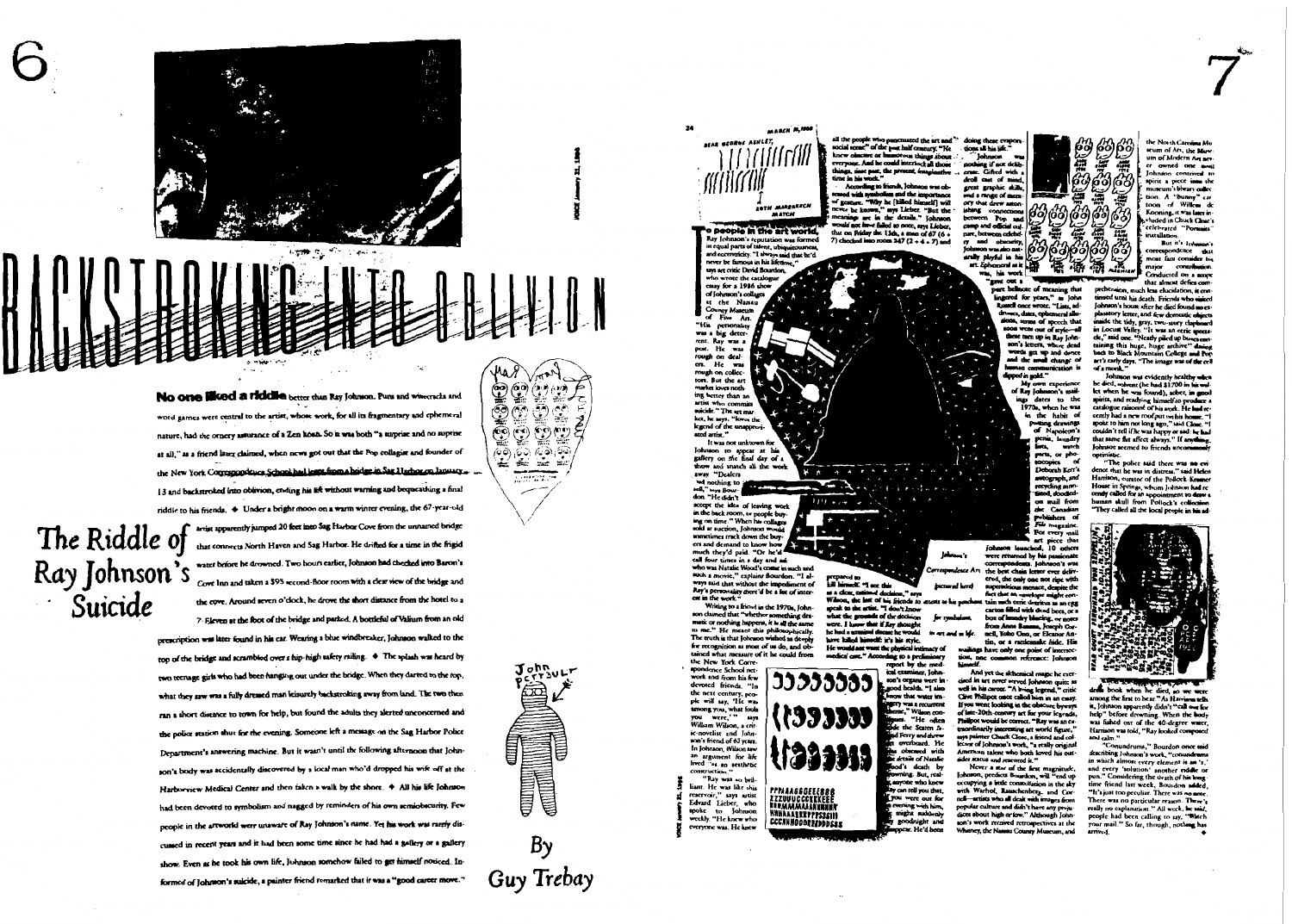

Suicide



No one liked a riddle better than Ray Johnson. Purs and wisecricks and word games were central to the artist, whose work, for all its fragmentary and ephemeral nature, had the ornery assurance of a Zen kosn. So it was both "a surprise and no supris as a friend later claimed, when news got out that the Pop collagist and at all.' the New York Correspondence Schonkhad least from a ho 13 and backstroked into oblivion, ending his life without warning and bequeating a fina riddle to his friends.  $\triangleq$  Under a bright moon on a warm winter evening, the 67-year-old artist apparently jumped 20 feet into Sag Harbor Cove from the un The Riddle of that connects North Haven and Sag Harbor. He drifted for a time in the Ray Johnson's water before he drowned. Two hours earlier, Johnson had checked into Baron' Cove Inn and taken a \$95 second-floor room with a clear view of the bridge and the cove. Around seven o'clock, he drove the short distance from the hotel to a

> 7-Eleven at the foot of the bridge and parked. A bottleful of Valium from an old prescription was later found in his car. Wearing a blue windbreaker, Johnson walked to the top of the bridge and scrambled over a hip-high safety railing. . The splash was heard by two teenage girls who had been hanging out under the bridge. When they darted to the top what they saw was a fully dressed man kisurely backstroking away from land. The two then ran a short distance to town for help, but found the adults they alerted unconcerned and the police station shut for the evening. Someone left a message on the Sag Harbor Police Department's answering machine. But it wasn't until the following afternoon that John son's body was accidentally discovered by a local man who'd dropped his wife off at the Harborview Medical Center and then taken a walk by the shore. + All his life John had been devoted to symbolism and nagged by reminders of his own semiobacurity. Few people in the artworld were unaware of Ray Johnson's name. Yet his work was rarely dis cussed in recent years and it had been some time since he had had a gallery or a gallery show. Even as he took his own life, Johnson somehow failed to get himself noticed. Informed of Johnson's suicide, a painter friend remarked that it was a "good career move."





MARCH M, 1960 **BEAR SEORGE ASHLEY.** 

minirini **ANTH MARRAKECH** 

people in the art world Ray Johnson's reputation was formed tricity. "I always said that he' never be famous in his lifetime.

uys art critic David Bour who wrote the catalog<br>estay for a 1986 show of lohi son's collages at the Nassau unty Museum "Hi was , big rent. Ray was pest.<br>pest. He was  $rent$ ers. He was tors. But the art ing better than an uicide." The art mu ket, he says. "lowes the legend of the unappreci ated artist." It was not unknown fo Johnson to appear at<br>gallery on the final day and snatch all the  $* n$ away. "Dealers wed nothing to sell," save Box don. "He didn't accept the idea of leaving in the back room, or people buying on time." When his collages<br>sold at suction, Johnson would<br>sometimes track down the buy-

**1. . . . .** ers and demand to know ho AF p much they'd paid. "Or he'd much they'd paid. The  $a = \frac{a}{1 + a}$ <br>call four times in  $a$  day and ask<br>who was Natatic Wood's constrained much<br>much a movie," caplains Bourdon, "I al-<br>ways said that without the impediment of<br>ext in the work."<br>within the

Writing to a friend in the 1970s, John son Garned trat. whether sometimity was<br>music or nothing happens, it is all the same<br>to me." He meant this philosophically.<br>The truth is that Johnson wished as deeply for recognition as most of us do and obtained what measure of it he could from

spondence School net-<br>work and from his few 3333333 devoted friends. "In the next century, people will say, "He was<br>among you, what fools<br>you were,"" says  $\langle \ell 33333$ you were," says<br>William Wilson, a critic-novelist and John-<br>son's friend of 40 years. {|asans In Johnson, Wilson av an argument for life construction. Ray was so bril-<br>liant. He was like shis PPNAASSGEEE888<br>ZZZUUUCCCKKKEEE<br>RRMMMAAANNNNNN reservoir," says artist<br>Edvard Lieber, who **HUHAAA112PPPSSSIII** weekly "He knew who **CCCNHHODORRIDDDSSS** rvone was. He knew

all the people who punctuated the art and "<br>social sense" of the past half century. "He knew obscure or humorous things about cerryone. And he could interface all those<br>writings, nine past, the present, imaginative things, me in his worl

maximum is announced with symbolism and the importance<br>fraction and the importance<br>fractions. "Why he [killed himself] will<br>ver be known," any Lieber. "But the<br>canings are in the details." Johnson mould got have failed to note, exp. Lieber,<br>that on Friday the 13th, a man of 67 (6  $\ast$ <br>7) checked into room 247 (2 + 4  $\ast$  7) and

 $A$   $A$   $F$ 

یسم

 $119 - 77$ 

v.,

prepared to<br>Lill himself. "I see this<br>as a clear, rational decision," says<br>Wilson, the last of bis friends to

Winon, use live or use are ready<br>speak to the artist. "I don't know<br>what the grounds of the decision<br>were. I know that if Ray thought<br>he had a grassion disease he would

he had a arminal disease he would

He would not want the physical in

ng 10 a prelis

might

nega was ab  $\overline{\phantom{a}}$ 

doing these evaporations all his life."<br>"Iohnaon was<br>"nothing if not delib-<br>"nothing if not deliba small cancel with a<br>great graphic shift,<br>great graphic shift,<br>and a range of mem-<br>ory that drew aston-<br>ishing connections<br>between Pop and en Pop<br>and official part, between celebr on was also aas

in line work [1987]<br>
"gree out a<br>
"pare behoot of meaning that<br>
line may be behoot of meaning that<br>
linear behood one wrote. "Line, ad-<br>
drows, distance wrote. "Line, ad-<br>
alone, mean of type-cell allo<br>
some out of any po My own exp. lobneon's stail

ings dates to the in the habit of posting drawing penis, laundry<br>Biets, watch<br>parts, or pho-<br>tocopics of<br>Deborsh Kerr's second her a<br>sutograph, and<br>"Sited, doodled-on mail from<br>the Canadian<br>publishers of<br>File magazine.<br>For every mial

For every mail<br>Johnson Jaunched, 10 others<br>were returned by his passionate<br>correspondents. Johnson's was correspondents. Johnson's was cred, the only one not ripe with superstitious menace, despite the<br>fact that an envelope might conthat the state and control of the state of the state of the case of language of the case of language of the state of the model of the model of the model of the model of the model of the model of the state of the state of t have only one point of interset common reference: Johnsor

tion, one report by the medical examiner, John-<br>tol examiner, John-<br>ton's organs were in-<br>smow that water im-And yet the alchemical magic he exer-<br>ciood in art never served Johnson quite as<br>well in his career. "A living legend," critic<br>Clive Phillpot once called him in an essay. And yet the sk **HELLA AND A LOCALISTICAL** If you went looking in the obscur of late-20th-century art for your legends, "He often Philipot would be correct. "Ray was an ex space.<br>Space the Scaten Is traordi arily interesting art world figure,<br>iter Chuck Close, a friend and col ad Ferry and threw says painter Chuck Close, a friend and collector of Johnson's work, "a really origin!

overboard. He American talent who both loved his out ader Matus and reserved is " aider status and resented st."<br>Never a star of the first magnitude,<br>Johnson, predicts Boundon, will "end up<br>occupying a little constellation in the sky<br>with Warhol, Rauschenberg, and Cor-Good's death by agyone who knew r can tell you that, with vention, www.manuary, and con-<br>nell--artists who all dealt with images from<br>popular culture and didn't have any preju-<br>dices about high or low." Although Johnyou were out for ning with him. أصدقتهم bught and son's work red retrospectives at the they, the Nammi County Museum, and

the North Carolina Mi seum of Art, the Mase um of Modern Art act er owned one amil<br>Johnson contrived to spirit a piece into the nuscum's borary collect tion. A "bunny" car<br>toon of Willem de Kooning, it was been in cluded in Chuck Close's celebrated "Portraits natallation.<br>But it's Johnson's

correspondence elest<br>nost fant consider his contribution. ujor Conducted on a senge

prehension, much less elucidation, it con tinued until his death. Friends who wined Johnson's house after he died found moexplanatory letter, and few domestic olyants<br>planatory letter, and few domestic olyants<br>inaide the tidy, gray, two-story claples of<br>in Locust Velley. "It was an etric specia-<br>ck," said one. "Nearly piled up bones containing this huge, huge archive" dating art's early days. "The image was of the cell<br>of a monk."

Johnson was evide Find the breast first state of the base of the breast of the breast for the state of the breast of the breast of spin and spinits, and readying himself to produce a catalogue raisonné of his work. He had recently had a new roof put on his home. spoke to him not long ago," said Close. "I couldn't tell if he was happy or sad: he had<br>that same flat affect always." If anything, Johnson seemed to friends unco

"The police said there was no evidence that he was in distress," said Helen Harrison, curator of the Pollock Kramer House in Springs, whom Johnson had recently called for an appointment to denote human skull from Pollock's collection. "They called all the local people in his ad



dress book when he lied, so we wen .<br>... among the first to hear." As Harris increase are an interaction and the field out for<br>help" before drowning. When the body was fished out of the 40-degree water, Harrison was told, "Ray looked composed and calm.'

"Conundrums," Bourdon once said describing Johnson's work, "conundrum in which almost every element is an 's." and every 'solution' another riddle or<br>pun." Considering the death of his long-<br>time friend last week, Bourdon added, "It's just too peculiar. There was no note. There was no particular reason. There's<br>really no explanation." All week, he said,<br>people had been calling to say, "Watch your mail." So far, though, nothing has w.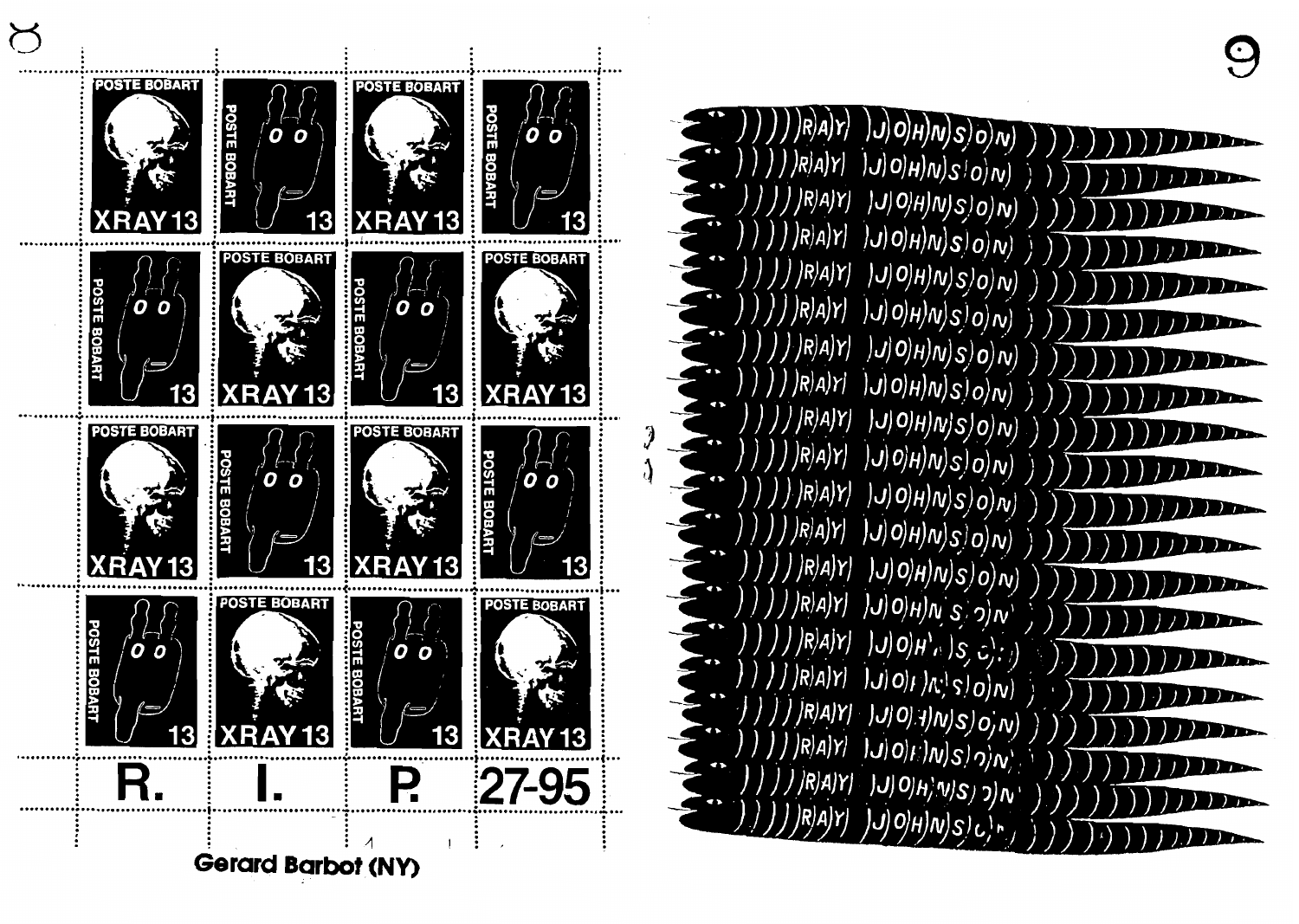

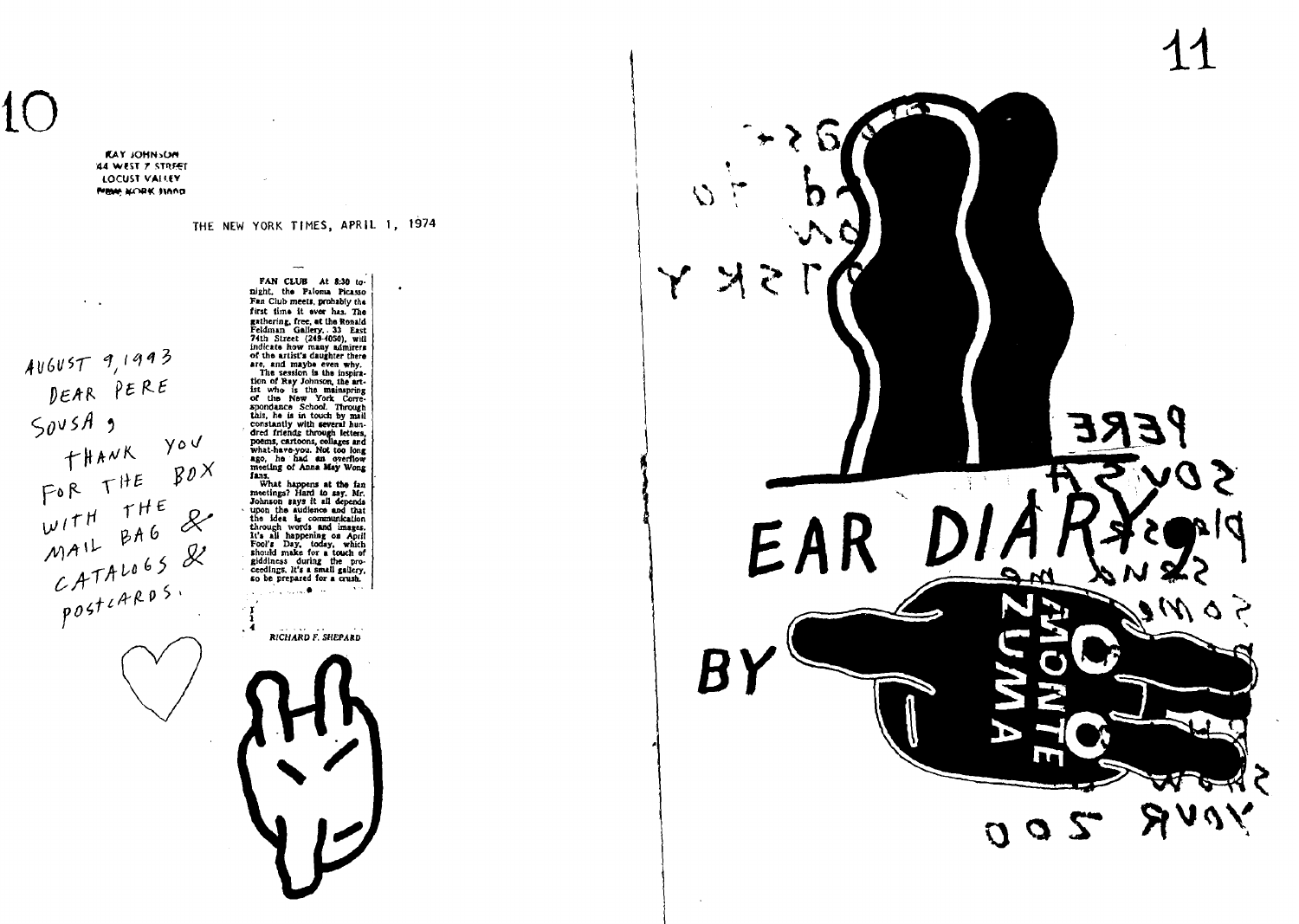$10<sup>1</sup>$ 

**KAY JOHNSON 44 WEST 7 STREET** LOCUST VALLEY **NEW KORK NAND** 

 $\mathbf{r}=\mathbf{r}$ 

AUGUST 9, 1993 DEAR PERE

 $SovSA$ ,

THE NEW YORK TIMES, APRIL 1, 1974

 $\mathbf{r}$ 

FAN CLUB At 8:30 to-Fan Club meets, probably the first time it ever has. The gathering, free, at the Ronald<br>Feldman Gallery, 33 East<br>74th Street (249-4050), will Feldman Galiery. 33 East 140 Methem Galiery.<br>
Figheral Since (249-4050), will indicate how many naminers<br>
of the artist's due there there are why.<br>
In order the session is the inspirate there is the many John of Ray Johns FHANK YOU<br>FOR THE BOX

 $u$ <sup>-1-1</sup><br>  $u$ <sub>1</sub> THE<br>  $u$ <sub>1</sub> THE<br>  $u$ <sub>1</sub> THE<br>  $R$ <sub>1</sub><br>  $k$ <br>  $k$ <br>  $h$ <br>  $h$ <br>  $k$ <br>  $h$ <br>  $k$ <br>  $k$ <br>  $h$ <br>  $h$ <br>  $k$ <br>  $k$ <br>  $k$ <br>  $k$ <br>  $k$ <br>  $k$ <br>  $h$ <br>  $h$ <br>  $k$ <br>  $k$ so be prepared for a crush. المراهيسين

**RICHARD F. SHEPARD** 

Ť.  $\ddot{\phantom{1}}$ 

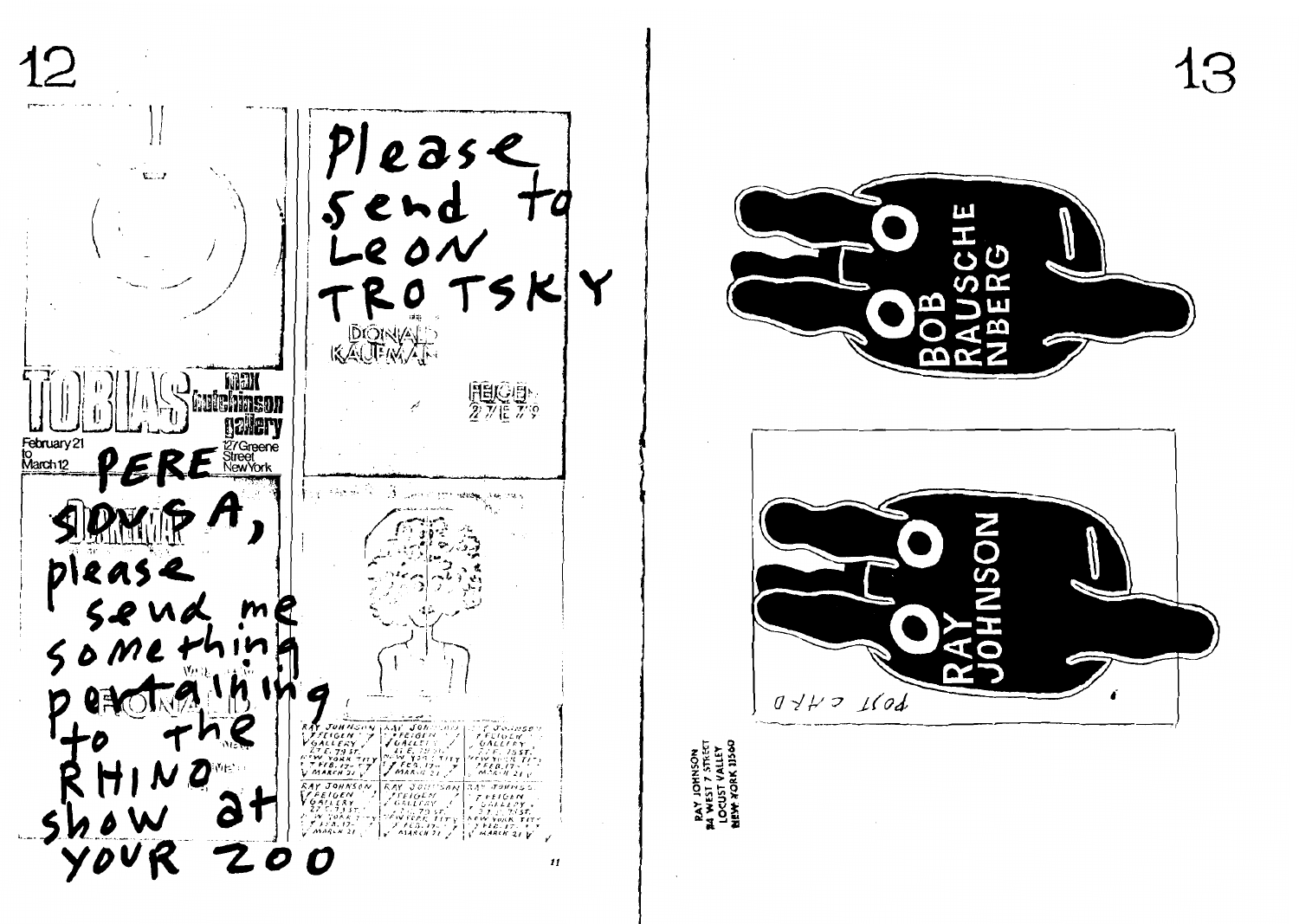



13



**RAY JOHNSON**<br>LOCUST 7 STREET<br>LOCUST VALLEY<br>LESS AORK 11560